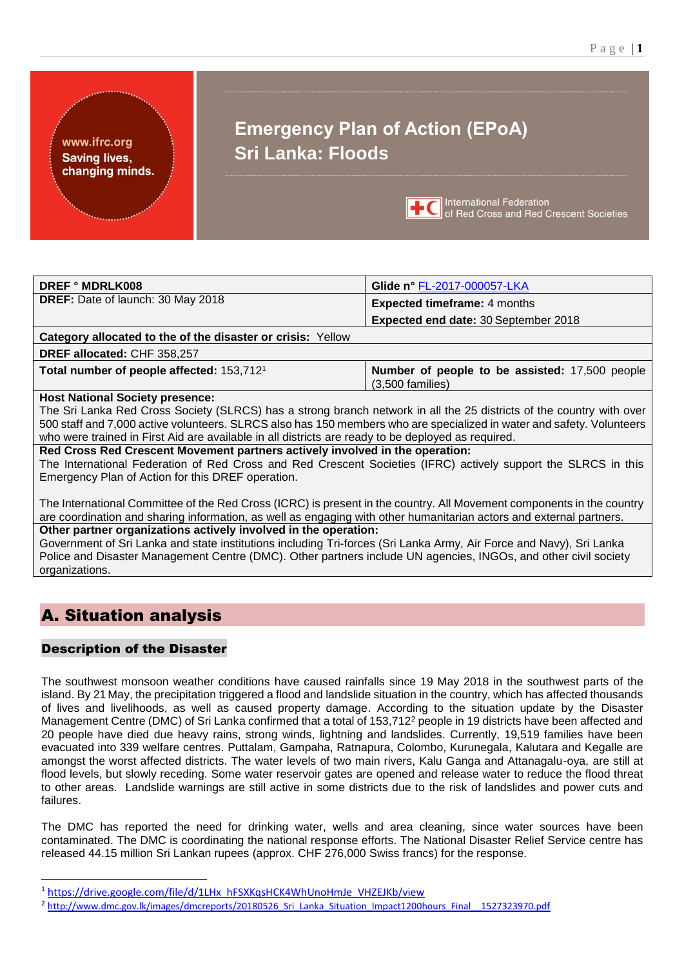www.ifrc.org **Saving lives,** changing minds.

# **Emergency Plan of Action (EPoA) Sri Lanka: Floods**



International Federation<br>I of Red Cross and Red Crescent Societies

| <b>DREF º MDRLK008</b>                                                                                                                                                                                                                                                                                                                                                                                                                                                                                                                                                                                                                               | Glide n° FL-2017-000057-LKA                                          |  |  |  |
|------------------------------------------------------------------------------------------------------------------------------------------------------------------------------------------------------------------------------------------------------------------------------------------------------------------------------------------------------------------------------------------------------------------------------------------------------------------------------------------------------------------------------------------------------------------------------------------------------------------------------------------------------|----------------------------------------------------------------------|--|--|--|
| <b>DREF:</b> Date of launch: 30 May 2018                                                                                                                                                                                                                                                                                                                                                                                                                                                                                                                                                                                                             | <b>Expected timeframe: 4 months</b>                                  |  |  |  |
|                                                                                                                                                                                                                                                                                                                                                                                                                                                                                                                                                                                                                                                      | <b>Expected end date: 30 September 2018</b>                          |  |  |  |
| Category allocated to the of the disaster or crisis: Yellow                                                                                                                                                                                                                                                                                                                                                                                                                                                                                                                                                                                          |                                                                      |  |  |  |
| DREF allocated: CHF 358,257                                                                                                                                                                                                                                                                                                                                                                                                                                                                                                                                                                                                                          |                                                                      |  |  |  |
| Total number of people affected: 153,7121                                                                                                                                                                                                                                                                                                                                                                                                                                                                                                                                                                                                            | Number of people to be assisted: 17,500 people<br>$(3,500$ families) |  |  |  |
| <b>Host National Society presence:</b><br>The Sri Lanka Red Cross Society (SLRCS) has a strong branch network in all the 25 districts of the country with over<br>500 staff and 7,000 active volunteers. SLRCS also has 150 members who are specialized in water and safety. Volunteers<br>who were trained in First Aid are available in all districts are ready to be deployed as required.<br>Red Cross Red Crescent Movement partners actively involved in the operation:<br>The International Federation of Red Cross and Red Crescent Societies (IFRC) actively support the SLRCS in this<br>Emergency Plan of Action for this DREF operation. |                                                                      |  |  |  |
|                                                                                                                                                                                                                                                                                                                                                                                                                                                                                                                                                                                                                                                      |                                                                      |  |  |  |

The International Committee of the Red Cross (ICRC) is present in the country. All Movement components in the country are coordination and sharing information, as well as engaging with other humanitarian actors and external partners. **Other partner organizations actively involved in the operation:**

Government of Sri Lanka and state institutions including Tri-forces (Sri Lanka Army, Air Force and Navy), Sri Lanka Police and Disaster Management Centre (DMC). Other partners include UN agencies, INGOs, and other civil society organizations.

## A. Situation analysis

### Description of the Disaster

-

The southwest monsoon weather conditions have caused rainfalls since 19 May 2018 in the southwest parts of the island. By 21 May, the precipitation triggered a flood and landslide situation in the country, which has affected thousands of lives and livelihoods, as well as caused property damage. According to the situation update by the Disaster Management Centre (DMC) of Sri Lanka confirmed that a total of 153,712<sup>2</sup> people in 19 districts have been affected and 20 people have died due heavy rains, strong winds, lightning and landslides. Currently, 19,519 families have been evacuated into 339 welfare centres. Puttalam, Gampaha, Ratnapura, Colombo, Kurunegala, Kalutara and Kegalle are amongst the worst affected districts. The water levels of two main rivers, Kalu Ganga and Attanagalu-oya, are still at flood levels, but slowly receding. Some water reservoir gates are opened and release water to reduce the flood threat to other areas. Landslide warnings are still active in some districts due to the risk of landslides and power cuts and failures.

The DMC has reported the need for drinking water, wells and area cleaning, since water sources have been contaminated. The DMC is coordinating the national response efforts. The National Disaster Relief Service centre has released 44.15 million Sri Lankan rupees (approx. CHF 276,000 Swiss francs) for the response.

<sup>&</sup>lt;sup>1</sup> [https://drive.google.com/file/d/1LHx\\_hFSXKqsHCK4WhUnoHmJe\\_VHZEJKb/view](https://drive.google.com/file/d/1LHx_hFSXKqsHCK4WhUnoHmJe_VHZEJKb/view)

<sup>&</sup>lt;sup>2</sup> [http://www.dmc.gov.lk/images/dmcreports/20180526\\_Sri\\_Lanka\\_Situation\\_Impact1200hours\\_Final\\_\\_1527323970.pdf](http://www.dmc.gov.lk/images/dmcreports/20180526_Sri_Lanka_Situation_Impact1200hours_Final__1527323970.pdf)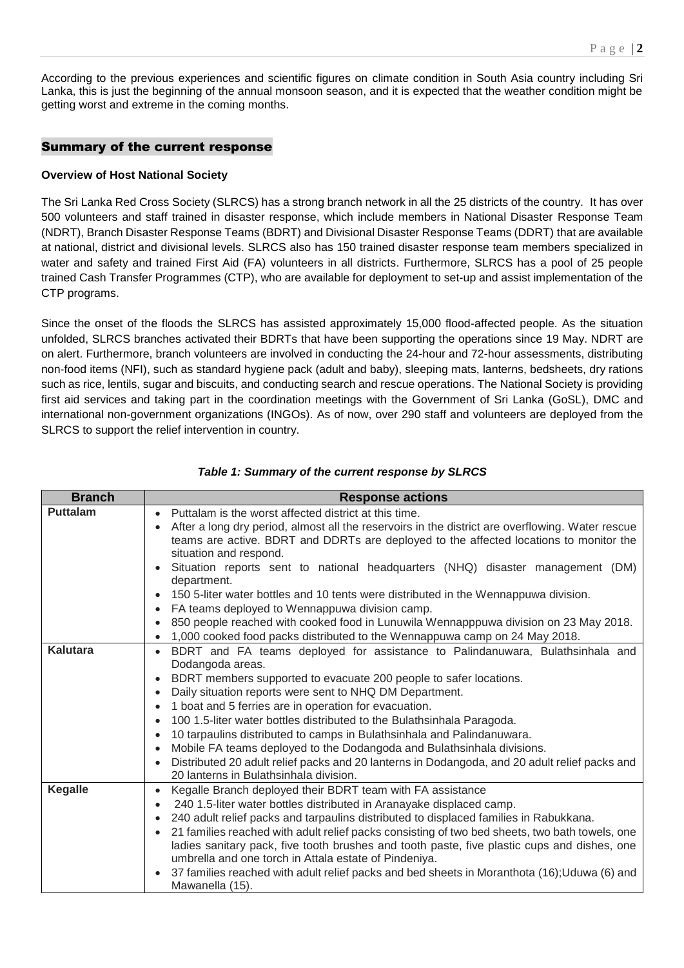According to the previous experiences and scientific figures on climate condition in South Asia country including Sri Lanka, this is just the beginning of the annual monsoon season, and it is expected that the weather condition might be getting worst and extreme in the coming months.

#### Summary of the current response

#### **Overview of Host National Society**

The Sri Lanka Red Cross Society (SLRCS) has a strong branch network in all the 25 districts of the country. It has over 500 volunteers and staff trained in disaster response, which include members in National Disaster Response Team (NDRT), Branch Disaster Response Teams (BDRT) and Divisional Disaster Response Teams (DDRT) that are available at national, district and divisional levels. SLRCS also has 150 trained disaster response team members specialized in water and safety and trained First Aid (FA) volunteers in all districts. Furthermore, SLRCS has a pool of 25 people trained Cash Transfer Programmes (CTP), who are available for deployment to set-up and assist implementation of the CTP programs.

Since the onset of the floods the SLRCS has assisted approximately 15,000 flood-affected people. As the situation unfolded, SLRCS branches activated their BDRTs that have been supporting the operations since 19 May. NDRT are on alert. Furthermore, branch volunteers are involved in conducting the 24-hour and 72-hour assessments, distributing non-food items (NFI), such as standard hygiene pack (adult and baby), sleeping mats, lanterns, bedsheets, dry rations such as rice, lentils, sugar and biscuits, and conducting search and rescue operations. The National Society is providing first aid services and taking part in the coordination meetings with the Government of Sri Lanka (GoSL), DMC and international non-government organizations (INGOs). As of now, over 290 staff and volunteers are deployed from the SLRCS to support the relief intervention in country.

| <b>Branch</b>   | <b>Response actions</b>                                                                                         |  |  |  |  |  |  |  |
|-----------------|-----------------------------------------------------------------------------------------------------------------|--|--|--|--|--|--|--|
| <b>Puttalam</b> | Puttalam is the worst affected district at this time.<br>$\bullet$                                              |  |  |  |  |  |  |  |
|                 | After a long dry period, almost all the reservoirs in the district are overflowing. Water rescue                |  |  |  |  |  |  |  |
|                 | teams are active. BDRT and DDRTs are deployed to the affected locations to monitor the                          |  |  |  |  |  |  |  |
|                 | situation and respond.                                                                                          |  |  |  |  |  |  |  |
|                 | Situation reports sent to national headquarters (NHQ) disaster management (DM)<br>$\bullet$<br>department.      |  |  |  |  |  |  |  |
|                 |                                                                                                                 |  |  |  |  |  |  |  |
|                 | 150 5-liter water bottles and 10 tents were distributed in the Wennappuwa division.<br>$\bullet$                |  |  |  |  |  |  |  |
|                 | FA teams deployed to Wennappuwa division camp.<br>$\bullet$                                                     |  |  |  |  |  |  |  |
|                 | 850 people reached with cooked food in Lunuwila Wennapppuwa division on 23 May 2018.<br>$\bullet$               |  |  |  |  |  |  |  |
| Kalutara        | 1,000 cooked food packs distributed to the Wennappuwa camp on 24 May 2018.<br>$\bullet$                         |  |  |  |  |  |  |  |
|                 | BDRT and FA teams deployed for assistance to Palindanuwara, Bulathsinhala and<br>$\bullet$                      |  |  |  |  |  |  |  |
|                 | Dodangoda areas.                                                                                                |  |  |  |  |  |  |  |
|                 | BDRT members supported to evacuate 200 people to safer locations.<br>$\bullet$                                  |  |  |  |  |  |  |  |
|                 | Daily situation reports were sent to NHQ DM Department.<br>$\bullet$                                            |  |  |  |  |  |  |  |
|                 | 1 boat and 5 ferries are in operation for evacuation.<br>$\bullet$                                              |  |  |  |  |  |  |  |
|                 | 100 1.5-liter water bottles distributed to the Bulathsinhala Paragoda.<br>$\bullet$                             |  |  |  |  |  |  |  |
|                 | 10 tarpaulins distributed to camps in Bulathsinhala and Palindanuwara.<br>$\bullet$                             |  |  |  |  |  |  |  |
|                 | Mobile FA teams deployed to the Dodangoda and Bulathsinhala divisions.<br>$\bullet$                             |  |  |  |  |  |  |  |
|                 | Distributed 20 adult relief packs and 20 lanterns in Dodangoda, and 20 adult relief packs and<br>$\bullet$      |  |  |  |  |  |  |  |
|                 | 20 lanterns in Bulathsinhala division.                                                                          |  |  |  |  |  |  |  |
| <b>Kegalle</b>  | Kegalle Branch deployed their BDRT team with FA assistance<br>$\bullet$                                         |  |  |  |  |  |  |  |
|                 | 240 1.5-liter water bottles distributed in Aranayake displaced camp.<br>$\bullet$                               |  |  |  |  |  |  |  |
|                 | 240 adult relief packs and tarpaulins distributed to displaced families in Rabukkana.<br>$\bullet$              |  |  |  |  |  |  |  |
|                 | 21 families reached with adult relief packs consisting of two bed sheets, two bath towels, one<br>$\bullet$     |  |  |  |  |  |  |  |
|                 | ladies sanitary pack, five tooth brushes and tooth paste, five plastic cups and dishes, one                     |  |  |  |  |  |  |  |
|                 | umbrella and one torch in Attala estate of Pindeniya.                                                           |  |  |  |  |  |  |  |
|                 | 37 families reached with adult relief packs and bed sheets in Moranthota (16); Uduwa (6) and<br>Mawanella (15). |  |  |  |  |  |  |  |

#### *Table 1: Summary of the current response by SLRCS*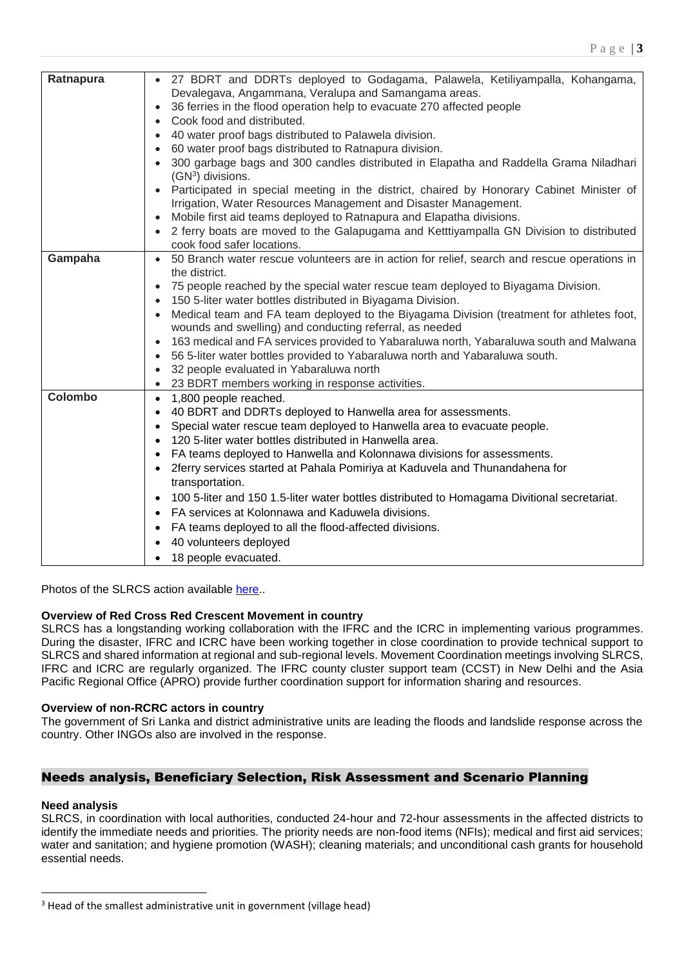| Ratnapura      | • 27 BDRT and DDRTs deployed to Godagama, Palawela, Ketiliyampalla, Kohangama,<br>Devalegava, Angammana, Veralupa and Samangama areas.<br>36 ferries in the flood operation help to evacuate 270 affected people<br>$\bullet$<br>Cook food and distributed.<br>40 water proof bags distributed to Palawela division.<br>60 water proof bags distributed to Ratnapura division.<br>300 garbage bags and 300 candles distributed in Elapatha and Raddella Grama Niladhari<br>$(GN3)$ divisions.<br>Participated in special meeting in the district, chaired by Honorary Cabinet Minister of<br>Irrigation, Water Resources Management and Disaster Management.<br>Mobile first aid teams deployed to Ratnapura and Elapatha divisions.<br>$\bullet$<br>2 ferry boats are moved to the Galapugama and Ketttiyampalla GN Division to distributed<br>cook food safer locations. |
|----------------|----------------------------------------------------------------------------------------------------------------------------------------------------------------------------------------------------------------------------------------------------------------------------------------------------------------------------------------------------------------------------------------------------------------------------------------------------------------------------------------------------------------------------------------------------------------------------------------------------------------------------------------------------------------------------------------------------------------------------------------------------------------------------------------------------------------------------------------------------------------------------|
| Gampaha        | 50 Branch water rescue volunteers are in action for relief, search and rescue operations in<br>$\bullet$                                                                                                                                                                                                                                                                                                                                                                                                                                                                                                                                                                                                                                                                                                                                                                   |
|                | the district.                                                                                                                                                                                                                                                                                                                                                                                                                                                                                                                                                                                                                                                                                                                                                                                                                                                              |
|                | 75 people reached by the special water rescue team deployed to Biyagama Division.                                                                                                                                                                                                                                                                                                                                                                                                                                                                                                                                                                                                                                                                                                                                                                                          |
|                | 150 5-liter water bottles distributed in Biyagama Division.                                                                                                                                                                                                                                                                                                                                                                                                                                                                                                                                                                                                                                                                                                                                                                                                                |
|                | Medical team and FA team deployed to the Biyagama Division (treatment for athletes foot,<br>wounds and swelling) and conducting referral, as needed                                                                                                                                                                                                                                                                                                                                                                                                                                                                                                                                                                                                                                                                                                                        |
|                | 163 medical and FA services provided to Yabaraluwa north, Yabaraluwa south and Malwana<br>$\bullet$                                                                                                                                                                                                                                                                                                                                                                                                                                                                                                                                                                                                                                                                                                                                                                        |
|                | 56 5-liter water bottles provided to Yabaraluwa north and Yabaraluwa south.                                                                                                                                                                                                                                                                                                                                                                                                                                                                                                                                                                                                                                                                                                                                                                                                |
|                | 32 people evaluated in Yabaraluwa north                                                                                                                                                                                                                                                                                                                                                                                                                                                                                                                                                                                                                                                                                                                                                                                                                                    |
|                | 23 BDRT members working in response activities.<br>$\bullet$                                                                                                                                                                                                                                                                                                                                                                                                                                                                                                                                                                                                                                                                                                                                                                                                               |
| <b>Colombo</b> | 1,800 people reached.<br>$\bullet$                                                                                                                                                                                                                                                                                                                                                                                                                                                                                                                                                                                                                                                                                                                                                                                                                                         |
|                | 40 BDRT and DDRTs deployed to Hanwella area for assessments.                                                                                                                                                                                                                                                                                                                                                                                                                                                                                                                                                                                                                                                                                                                                                                                                               |
|                | Special water rescue team deployed to Hanwella area to evacuate people.                                                                                                                                                                                                                                                                                                                                                                                                                                                                                                                                                                                                                                                                                                                                                                                                    |
|                | 120 5-liter water bottles distributed in Hanwella area.                                                                                                                                                                                                                                                                                                                                                                                                                                                                                                                                                                                                                                                                                                                                                                                                                    |
|                | FA teams deployed to Hanwella and Kolonnawa divisions for assessments.                                                                                                                                                                                                                                                                                                                                                                                                                                                                                                                                                                                                                                                                                                                                                                                                     |
|                | 2ferry services started at Pahala Pomiriya at Kaduvela and Thunandahena for<br>transportation.                                                                                                                                                                                                                                                                                                                                                                                                                                                                                                                                                                                                                                                                                                                                                                             |
|                |                                                                                                                                                                                                                                                                                                                                                                                                                                                                                                                                                                                                                                                                                                                                                                                                                                                                            |
|                | 100 5-liter and 150 1.5-liter water bottles distributed to Homagama Divitional secretariat.<br>$\bullet$<br>FA services at Kolonnawa and Kaduwela divisions.                                                                                                                                                                                                                                                                                                                                                                                                                                                                                                                                                                                                                                                                                                               |
|                |                                                                                                                                                                                                                                                                                                                                                                                                                                                                                                                                                                                                                                                                                                                                                                                                                                                                            |
|                | FA teams deployed to all the flood-affected divisions.<br>$\bullet$                                                                                                                                                                                                                                                                                                                                                                                                                                                                                                                                                                                                                                                                                                                                                                                                        |
|                | 40 volunteers deployed                                                                                                                                                                                                                                                                                                                                                                                                                                                                                                                                                                                                                                                                                                                                                                                                                                                     |
|                | 18 people evacuated.                                                                                                                                                                                                                                                                                                                                                                                                                                                                                                                                                                                                                                                                                                                                                                                                                                                       |

Photos of the SLRCS action available [here.](http://j.mp/2sarJ5U).

#### **Overview of Red Cross Red Crescent Movement in country**

SLRCS has a longstanding working collaboration with the IFRC and the ICRC in implementing various programmes. During the disaster, IFRC and ICRC have been working together in close coordination to provide technical support to SLRCS and shared information at regional and sub-regional levels. Movement Coordination meetings involving SLRCS, IFRC and ICRC are regularly organized. The IFRC county cluster support team (CCST) in New Delhi and the Asia Pacific Regional Office (APRO) provide further coordination support for information sharing and resources.

#### **Overview of non-RCRC actors in country**

The government of Sri Lanka and district administrative units are leading the floods and landslide response across the country. Other INGOs also are involved in the response.

#### Needs analysis, Beneficiary Selection, Risk Assessment and Scenario Planning

#### **Need analysis**

1

SLRCS, in coordination with local authorities, conducted 24-hour and 72-hour assessments in the affected districts to identify the immediate needs and priorities. The priority needs are non-food items (NFIs); medical and first aid services; water and sanitation; and hygiene promotion (WASH); cleaning materials; and unconditional cash grants for household essential needs.

 $3$  Head of the smallest administrative unit in government (village head)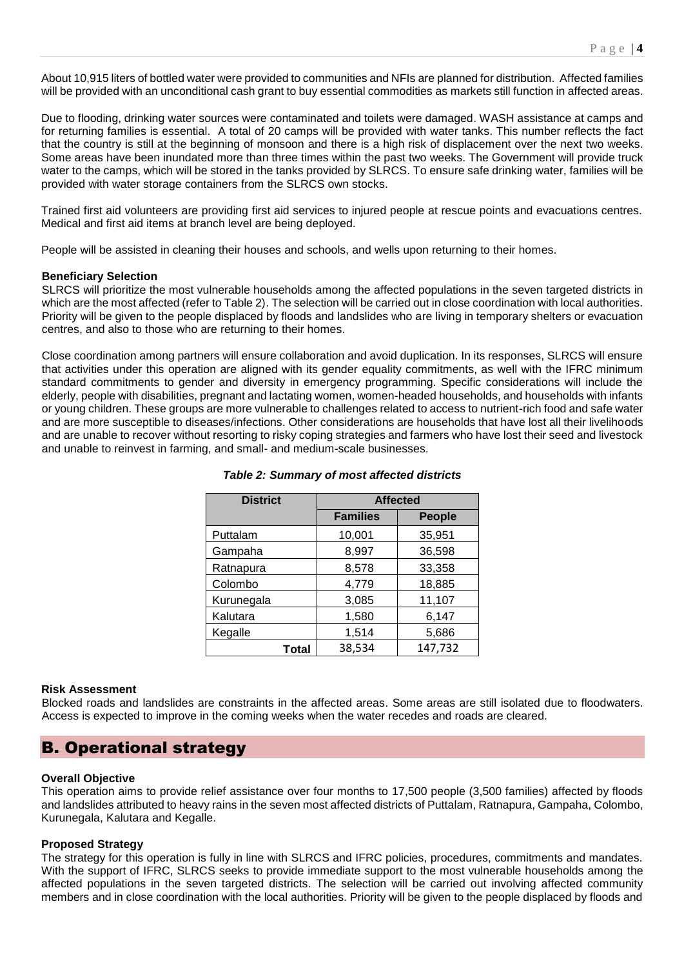About 10,915 liters of bottled water were provided to communities and NFIs are planned for distribution. Affected families will be provided with an unconditional cash grant to buy essential commodities as markets still function in affected areas.

Due to flooding, drinking water sources were contaminated and toilets were damaged. WASH assistance at camps and for returning families is essential. A total of 20 camps will be provided with water tanks. This number reflects the fact that the country is still at the beginning of monsoon and there is a high risk of displacement over the next two weeks. Some areas have been inundated more than three times within the past two weeks. The Government will provide truck water to the camps, which will be stored in the tanks provided by SLRCS. To ensure safe drinking water, families will be provided with water storage containers from the SLRCS own stocks.

Trained first aid volunteers are providing first aid services to injured people at rescue points and evacuations centres. Medical and first aid items at branch level are being deployed.

People will be assisted in cleaning their houses and schools, and wells upon returning to their homes.

#### **Beneficiary Selection**

SLRCS will prioritize the most vulnerable households among the affected populations in the seven targeted districts in which are the most affected (refer to Table 2). The selection will be carried out in close coordination with local authorities. Priority will be given to the people displaced by floods and landslides who are living in temporary shelters or evacuation centres, and also to those who are returning to their homes.

Close coordination among partners will ensure collaboration and avoid duplication. In its responses, SLRCS will ensure that activities under this operation are aligned with its gender equality commitments, as well with the IFRC minimum standard commitments to gender and diversity in emergency programming. Specific considerations will include the elderly, people with disabilities, pregnant and lactating women, women-headed households, and households with infants or young children. These groups are more vulnerable to challenges related to access to nutrient-rich food and safe water and are more susceptible to diseases/infections. Other considerations are households that have lost all their livelihoods and are unable to recover without resorting to risky coping strategies and farmers who have lost their seed and livestock and unable to reinvest in farming, and small- and medium-scale businesses.

| <b>District</b> | <b>Affected</b> |               |  |  |  |
|-----------------|-----------------|---------------|--|--|--|
|                 | <b>Families</b> | <b>People</b> |  |  |  |
| Puttalam        | 10,001          | 35,951        |  |  |  |
| Gampaha         | 8,997           | 36,598        |  |  |  |
| Ratnapura       | 8,578           | 33,358        |  |  |  |
| Colombo         | 4,779           | 18,885        |  |  |  |
| Kurunegala      | 3,085           | 11,107        |  |  |  |
| Kalutara        | 1,580           | 6,147         |  |  |  |
| Kegalle         | 1,514           | 5,686         |  |  |  |
| <b>Total</b>    | 38,534          | 147,732       |  |  |  |

#### *Table 2: Summary of most affected districts*

#### **Risk Assessment**

Blocked roads and landslides are constraints in the affected areas. Some areas are still isolated due to floodwaters. Access is expected to improve in the coming weeks when the water recedes and roads are cleared.

### B. Operational strategy

#### **Overall Objective**

This operation aims to provide relief assistance over four months to 17,500 people (3,500 families) affected by floods and landslides attributed to heavy rains in the seven most affected districts of Puttalam, Ratnapura, Gampaha, Colombo, Kurunegala, Kalutara and Kegalle.

#### **Proposed Strategy**

The strategy for this operation is fully in line with SLRCS and IFRC policies, procedures, commitments and mandates. With the support of IFRC, SLRCS seeks to provide immediate support to the most vulnerable households among the affected populations in the seven targeted districts. The selection will be carried out involving affected community members and in close coordination with the local authorities. Priority will be given to the people displaced by floods and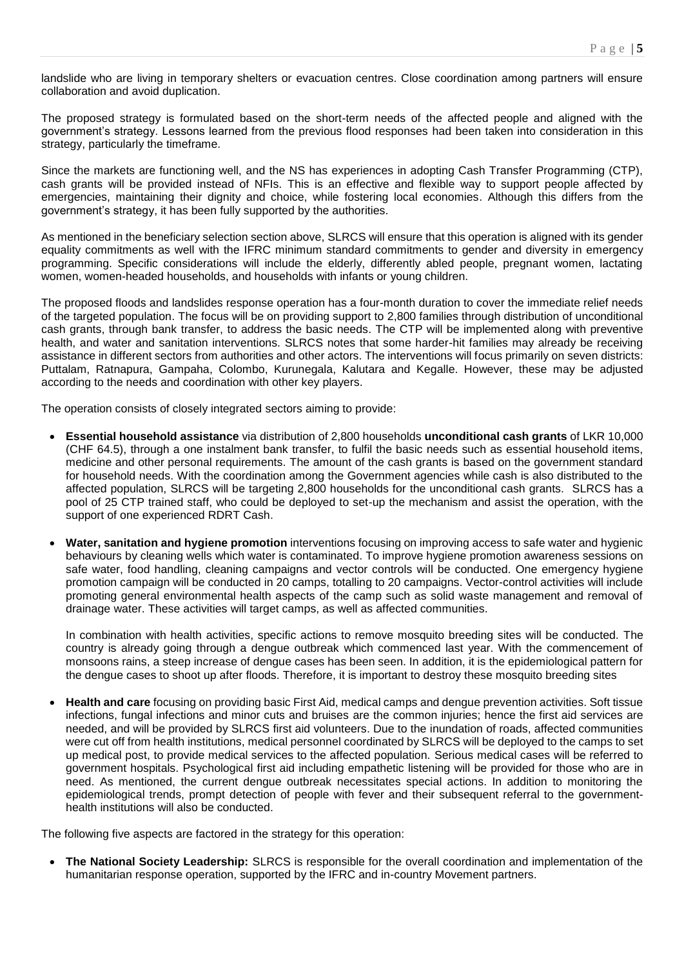landslide who are living in temporary shelters or evacuation centres. Close coordination among partners will ensure collaboration and avoid duplication.

The proposed strategy is formulated based on the short-term needs of the affected people and aligned with the government's strategy. Lessons learned from the previous flood responses had been taken into consideration in this strategy, particularly the timeframe.

Since the markets are functioning well, and the NS has experiences in adopting Cash Transfer Programming (CTP), cash grants will be provided instead of NFIs. This is an effective and flexible way to support people affected by emergencies, maintaining their dignity and choice, while fostering local economies. Although this differs from the government's strategy, it has been fully supported by the authorities.

As mentioned in the beneficiary selection section above, SLRCS will ensure that this operation is aligned with its gender equality commitments as well with the IFRC minimum standard commitments to gender and diversity in emergency programming. Specific considerations will include the elderly, differently abled people, pregnant women, lactating women, women-headed households, and households with infants or young children.

The proposed floods and landslides response operation has a four-month duration to cover the immediate relief needs of the targeted population. The focus will be on providing support to 2,800 families through distribution of unconditional cash grants, through bank transfer, to address the basic needs. The CTP will be implemented along with preventive health, and water and sanitation interventions. SLRCS notes that some harder-hit families may already be receiving assistance in different sectors from authorities and other actors. The interventions will focus primarily on seven districts: Puttalam, Ratnapura, Gampaha, Colombo, Kurunegala, Kalutara and Kegalle. However, these may be adjusted according to the needs and coordination with other key players.

The operation consists of closely integrated sectors aiming to provide:

- **Essential household assistance** via distribution of 2,800 households **unconditional cash grants** of LKR 10,000 (CHF 64.5), through a one instalment bank transfer, to fulfil the basic needs such as essential household items, medicine and other personal requirements. The amount of the cash grants is based on the government standard for household needs. With the coordination among the Government agencies while cash is also distributed to the affected population, SLRCS will be targeting 2,800 households for the unconditional cash grants. SLRCS has a pool of 25 CTP trained staff, who could be deployed to set-up the mechanism and assist the operation, with the support of one experienced RDRT Cash.
- **Water, sanitation and hygiene promotion** interventions focusing on improving access to safe water and hygienic behaviours by cleaning wells which water is contaminated. To improve hygiene promotion awareness sessions on safe water, food handling, cleaning campaigns and vector controls will be conducted. One emergency hygiene promotion campaign will be conducted in 20 camps, totalling to 20 campaigns. Vector-control activities will include promoting general environmental health aspects of the camp such as solid waste management and removal of drainage water. These activities will target camps, as well as affected communities.

In combination with health activities, specific actions to remove mosquito breeding sites will be conducted. The country is already going through a dengue outbreak which commenced last year. With the commencement of monsoons rains, a steep increase of dengue cases has been seen. In addition, it is the epidemiological pattern for the dengue cases to shoot up after floods. Therefore, it is important to destroy these mosquito breeding sites

• **Health and care** focusing on providing basic First Aid, medical camps and dengue prevention activities. Soft tissue infections, fungal infections and minor cuts and bruises are the common injuries; hence the first aid services are needed, and will be provided by SLRCS first aid volunteers. Due to the inundation of roads, affected communities were cut off from health institutions, medical personnel coordinated by SLRCS will be deployed to the camps to set up medical post, to provide medical services to the affected population. Serious medical cases will be referred to government hospitals. Psychological first aid including empathetic listening will be provided for those who are in need. As mentioned, the current dengue outbreak necessitates special actions. In addition to monitoring the epidemiological trends, prompt detection of people with fever and their subsequent referral to the governmenthealth institutions will also be conducted.

The following five aspects are factored in the strategy for this operation:

• **The National Society Leadership:** SLRCS is responsible for the overall coordination and implementation of the humanitarian response operation, supported by the IFRC and in-country Movement partners.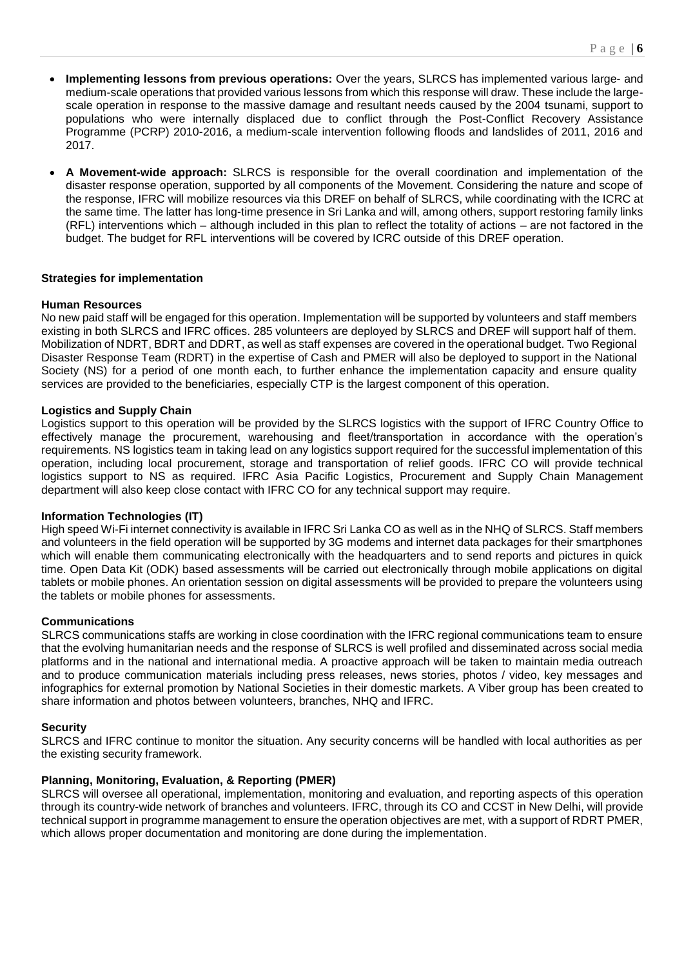- **Implementing lessons from previous operations:** Over the years, SLRCS has implemented various large- and medium-scale operations that provided various lessons from which this response will draw. These include the largescale operation in response to the massive damage and resultant needs caused by the 2004 tsunami, support to populations who were internally displaced due to conflict through the Post-Conflict Recovery Assistance Programme (PCRP) 2010-2016, a medium-scale intervention following floods and landslides of 2011, 2016 and 2017.
- **A Movement-wide approach:** SLRCS is responsible for the overall coordination and implementation of the disaster response operation, supported by all components of the Movement. Considering the nature and scope of the response, IFRC will mobilize resources via this DREF on behalf of SLRCS, while coordinating with the ICRC at the same time. The latter has long-time presence in Sri Lanka and will, among others, support restoring family links (RFL) interventions which – although included in this plan to reflect the totality of actions – are not factored in the budget. The budget for RFL interventions will be covered by ICRC outside of this DREF operation.

#### **Strategies for implementation**

#### **Human Resources**

No new paid staff will be engaged for this operation. Implementation will be supported by volunteers and staff members existing in both SLRCS and IFRC offices. 285 volunteers are deployed by SLRCS and DREF will support half of them. Mobilization of NDRT, BDRT and DDRT, as well as staff expenses are covered in the operational budget. Two Regional Disaster Response Team (RDRT) in the expertise of Cash and PMER will also be deployed to support in the National Society (NS) for a period of one month each, to further enhance the implementation capacity and ensure quality services are provided to the beneficiaries, especially CTP is the largest component of this operation.

#### **Logistics and Supply Chain**

Logistics support to this operation will be provided by the SLRCS logistics with the support of IFRC Country Office to effectively manage the procurement, warehousing and fleet/transportation in accordance with the operation's requirements. NS logistics team in taking lead on any logistics support required for the successful implementation of this operation, including local procurement, storage and transportation of relief goods. IFRC CO will provide technical logistics support to NS as required. IFRC Asia Pacific Logistics, Procurement and Supply Chain Management department will also keep close contact with IFRC CO for any technical support may require.

#### **Information Technologies (IT)**

High speed Wi-Fi internet connectivity is available in IFRC Sri Lanka CO as well as in the NHQ of SLRCS. Staff members and volunteers in the field operation will be supported by 3G modems and internet data packages for their smartphones which will enable them communicating electronically with the headquarters and to send reports and pictures in quick time. Open Data Kit (ODK) based assessments will be carried out electronically through mobile applications on digital tablets or mobile phones. An orientation session on digital assessments will be provided to prepare the volunteers using the tablets or mobile phones for assessments.

#### **Communications**

SLRCS communications staffs are working in close coordination with the IFRC regional communications team to ensure that the evolving humanitarian needs and the response of SLRCS is well profiled and disseminated across social media platforms and in the national and international media. A proactive approach will be taken to maintain media outreach and to produce communication materials including press releases, news stories, photos / video, key messages and infographics for external promotion by National Societies in their domestic markets. A Viber group has been created to share information and photos between volunteers, branches, NHQ and IFRC.

#### **Security**

SLRCS and IFRC continue to monitor the situation. Any security concerns will be handled with local authorities as per the existing security framework.

#### **Planning, Monitoring, Evaluation, & Reporting (PMER)**

SLRCS will oversee all operational, implementation, monitoring and evaluation, and reporting aspects of this operation through its country-wide network of branches and volunteers. IFRC, through its CO and CCST in New Delhi, will provide technical support in programme management to ensure the operation objectives are met, with a support of RDRT PMER, which allows proper documentation and monitoring are done during the implementation.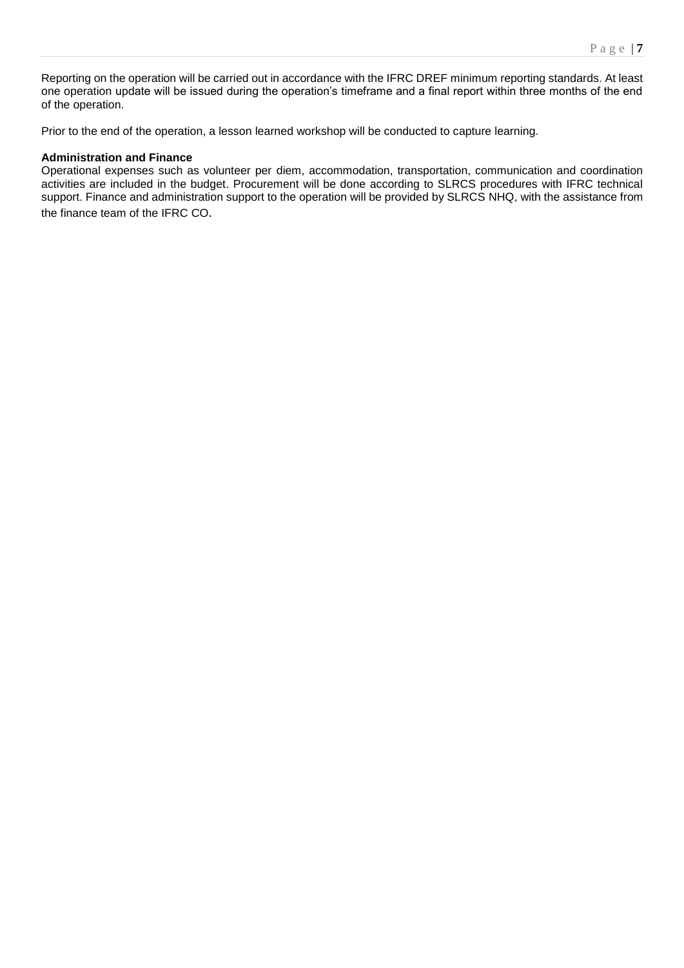Reporting on the operation will be carried out in accordance with the IFRC DREF minimum reporting standards. At least one operation update will be issued during the operation's timeframe and a final report within three months of the end of the operation.

Prior to the end of the operation, a lesson learned workshop will be conducted to capture learning.

#### **Administration and Finance**

Operational expenses such as volunteer per diem, accommodation, transportation, communication and coordination activities are included in the budget. Procurement will be done according to SLRCS procedures with IFRC technical support. Finance and administration support to the operation will be provided by SLRCS NHQ, with the assistance from the finance team of the IFRC CO.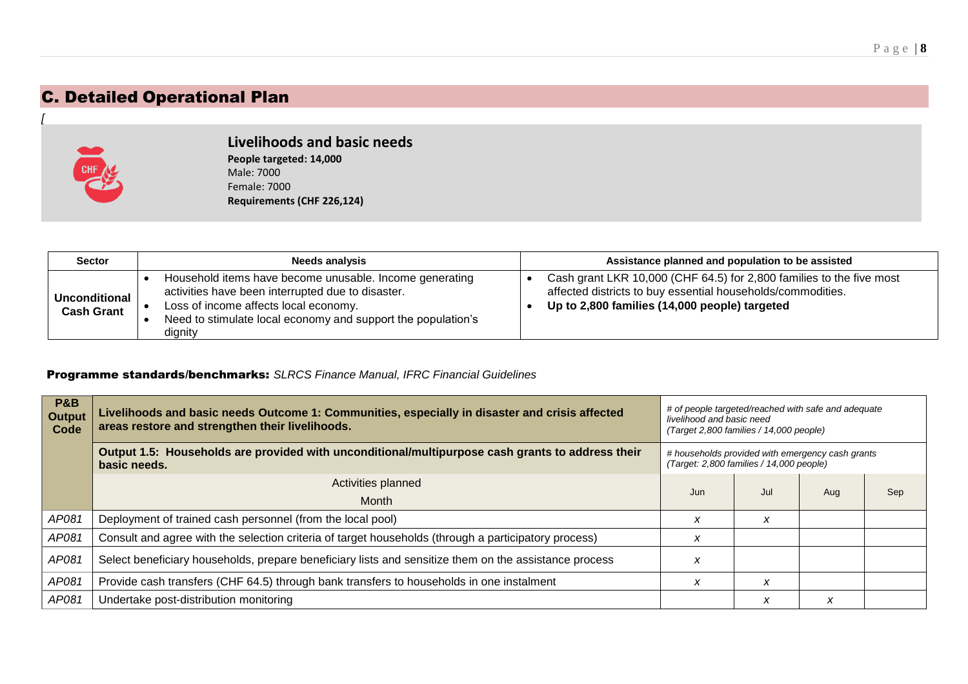# C. Detailed Operational Plan



*[*

**Livelihoods and basic needs People targeted: 14,000** Male: 7000 Female: 7000 **Requirements (CHF 226,124)**

| <b>Sector</b>                             | <b>Needs analysis</b>                                                                                                                                                                                                            | Assistance planned and population to be assisted                                                                                                                                     |
|-------------------------------------------|----------------------------------------------------------------------------------------------------------------------------------------------------------------------------------------------------------------------------------|--------------------------------------------------------------------------------------------------------------------------------------------------------------------------------------|
| <b>Unconditional</b><br><b>Cash Grant</b> | Household items have become unusable. Income generating<br>activities have been interrupted due to disaster.<br>Loss of income affects local economy.<br>Need to stimulate local economy and support the population's<br>dignity | Cash grant LKR 10,000 (CHF 64.5) for 2,800 families to the five most<br>affected districts to buy essential households/commodities.<br>Up to 2,800 families (14,000 people) targeted |

### Programme standards/benchmarks: *SLRCS Finance Manual, IFRC Financial Guidelines*

| P&B<br><b>Output</b><br>Code | Livelihoods and basic needs Outcome 1: Communities, especially in disaster and crisis affected<br>areas restore and strengthen their livelihoods. | # of people targeted/reached with safe and adequate<br>livelihood and basic need<br>(Target 2,800 families / 14,000 people) |     |     |     |
|------------------------------|---------------------------------------------------------------------------------------------------------------------------------------------------|-----------------------------------------------------------------------------------------------------------------------------|-----|-----|-----|
|                              | Output 1.5: Households are provided with unconditional/multipurpose cash grants to address their<br>basic needs.                                  | # households provided with emergency cash grants<br>(Target: 2,800 families / 14,000 people)                                |     |     |     |
|                              | Activities planned                                                                                                                                | Jun                                                                                                                         | Jul | Aug | Sep |
|                              | Month                                                                                                                                             |                                                                                                                             |     |     |     |
| AP081                        | Deployment of trained cash personnel (from the local pool)                                                                                        | X                                                                                                                           | X   |     |     |
| AP081                        | Consult and agree with the selection criteria of target households (through a participatory process)                                              | x                                                                                                                           |     |     |     |
| AP081                        | Select beneficiary households, prepare beneficiary lists and sensitize them on the assistance process                                             | X                                                                                                                           |     |     |     |
| AP081                        | Provide cash transfers (CHF 64.5) through bank transfers to households in one instalment                                                          | X                                                                                                                           | x   |     |     |
| AP081                        | Undertake post-distribution monitoring                                                                                                            |                                                                                                                             | x   | X   |     |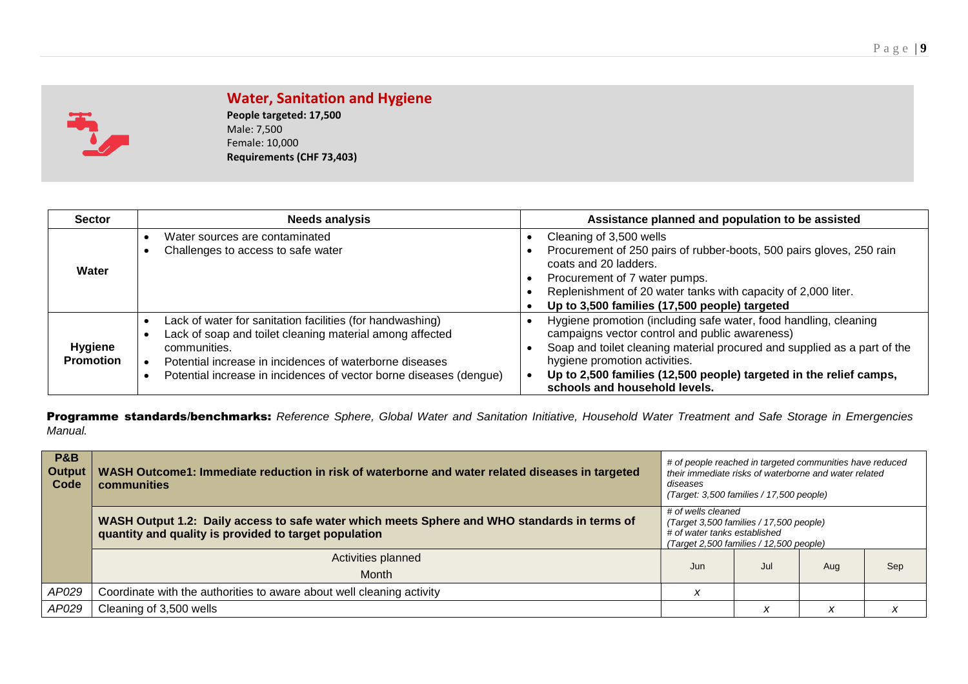

**Water, Sanitation and Hygiene**

**People targeted: 17,500** Male: 7,500 Female: 10,000 **Requirements (CHF 73,403)**

| <b>Sector</b>                      | <b>Needs analysis</b>                                                                                                                                                                                                                                                  | Assistance planned and population to be assisted                                                                                                                                                                                                                                                                                       |  |  |  |  |
|------------------------------------|------------------------------------------------------------------------------------------------------------------------------------------------------------------------------------------------------------------------------------------------------------------------|----------------------------------------------------------------------------------------------------------------------------------------------------------------------------------------------------------------------------------------------------------------------------------------------------------------------------------------|--|--|--|--|
| Water                              | Water sources are contaminated<br>Challenges to access to safe water                                                                                                                                                                                                   | Cleaning of 3,500 wells<br>Procurement of 250 pairs of rubber-boots, 500 pairs gloves, 250 rain<br>coats and 20 ladders.<br>Procurement of 7 water pumps.<br>Replenishment of 20 water tanks with capacity of 2,000 liter.<br>Up to 3,500 families (17,500 people) targeted                                                            |  |  |  |  |
| <b>Hygiene</b><br><b>Promotion</b> | Lack of water for sanitation facilities (for handwashing)<br>Lack of soap and toilet cleaning material among affected<br>communities.<br>Potential increase in incidences of waterborne diseases<br>Potential increase in incidences of vector borne diseases (dengue) | Hygiene promotion (including safe water, food handling, cleaning<br>campaigns vector control and public awareness)<br>Soap and toilet cleaning material procured and supplied as a part of the<br>hygiene promotion activities.<br>Up to 2,500 families (12,500 people) targeted in the relief camps,<br>schools and household levels. |  |  |  |  |

Programme standards/benchmarks: *Reference Sphere, Global Water and Sanitation Initiative, Household Water Treatment and Safe Storage in Emergencies Manual.*

| <b>P&amp;B</b><br><b>Output</b><br>Code | WASH Outcome1: Immediate reduction in risk of waterborne and water related diseases in targeted<br>communities                                        | # of people reached in targeted communities have reduced<br>their immediate risks of waterborne and water related<br>diseases<br>(Target: 3,500 families / 17,500 people) |     |                           |     |
|-----------------------------------------|-------------------------------------------------------------------------------------------------------------------------------------------------------|---------------------------------------------------------------------------------------------------------------------------------------------------------------------------|-----|---------------------------|-----|
|                                         | WASH Output 1.2: Daily access to safe water which meets Sphere and WHO standards in terms of<br>quantity and quality is provided to target population | # of wells cleaned<br>(Target 3,500 families / 17,500 people)<br># of water tanks established<br>(Target 2,500 families / 12,500 people)                                  |     |                           |     |
|                                         | Activities planned<br>Month                                                                                                                           | Jun                                                                                                                                                                       | Jul | Aug                       | Sep |
| AP029                                   | Coordinate with the authorities to aware about well cleaning activity                                                                                 | X                                                                                                                                                                         |     |                           |     |
| AP029                                   | Cleaning of 3,500 wells                                                                                                                               |                                                                                                                                                                           | x   | $\boldsymbol{\mathsf{x}}$ |     |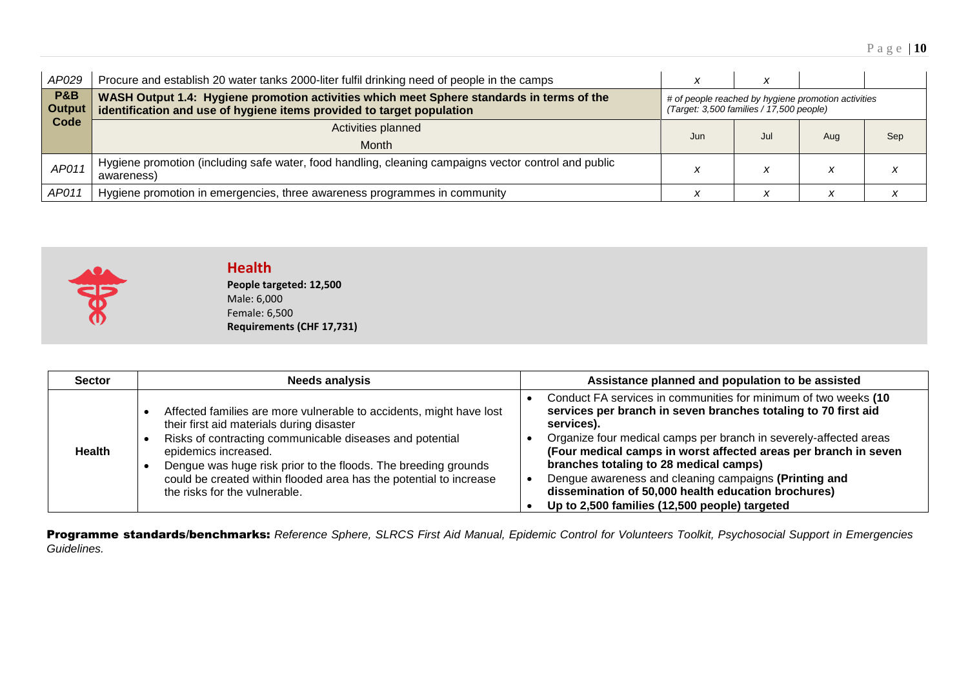| AP029                           | Procure and establish 20 water tanks 2000-liter fulfil drinking need of people in the camps                                                                                                                                                                           |     | $\overline{\phantom{a}}$ |     |     |
|---------------------------------|-----------------------------------------------------------------------------------------------------------------------------------------------------------------------------------------------------------------------------------------------------------------------|-----|--------------------------|-----|-----|
| <b>P&amp;B</b><br><b>Output</b> | WASH Output 1.4: Hygiene promotion activities which meet Sphere standards in terms of the<br># of people reached by hygiene promotion activities<br>(Target: 3,500 families / 17,500 people)<br>identification and use of hygiene items provided to target population |     |                          |     |     |
| Code                            | Activities planned<br><b>Month</b>                                                                                                                                                                                                                                    | Jun | Jul                      | Aug | Sep |
| AP011                           | Hygiene promotion (including safe water, food handling, cleaning campaigns vector control and public<br>awareness)                                                                                                                                                    |     |                          |     |     |
| AP011                           | Hygiene promotion in emergencies, three awareness programmes in community                                                                                                                                                                                             |     | A                        |     |     |



### **Health People targeted: 12,500** Male: 6,000 Female: 6,500 **Requirements (CHF 17,731)**

| <b>Sector</b> | <b>Needs analysis</b>                                                                                                                                                                                                                                                                                                                                                         | Assistance planned and population to be assisted                                                                                                                                                                                                                                                                                                                                                                                                                                                   |
|---------------|-------------------------------------------------------------------------------------------------------------------------------------------------------------------------------------------------------------------------------------------------------------------------------------------------------------------------------------------------------------------------------|----------------------------------------------------------------------------------------------------------------------------------------------------------------------------------------------------------------------------------------------------------------------------------------------------------------------------------------------------------------------------------------------------------------------------------------------------------------------------------------------------|
| <b>Health</b> | Affected families are more vulnerable to accidents, might have lost<br>their first aid materials during disaster<br>Risks of contracting communicable diseases and potential<br>epidemics increased.<br>Dengue was huge risk prior to the floods. The breeding grounds<br>could be created within flooded area has the potential to increase<br>the risks for the vulnerable. | Conduct FA services in communities for minimum of two weeks (10<br>services per branch in seven branches totaling to 70 first aid<br>services).<br>Organize four medical camps per branch in severely-affected areas<br>(Four medical camps in worst affected areas per branch in seven<br>branches totaling to 28 medical camps)<br>Dengue awareness and cleaning campaigns (Printing and<br>dissemination of 50,000 health education brochures)<br>Up to 2,500 families (12,500 people) targeted |

Programme standards/benchmarks: *Reference Sphere, SLRCS First Aid Manual, Epidemic Control for Volunteers Toolkit, Psychosocial Support in Emergencies Guidelines.*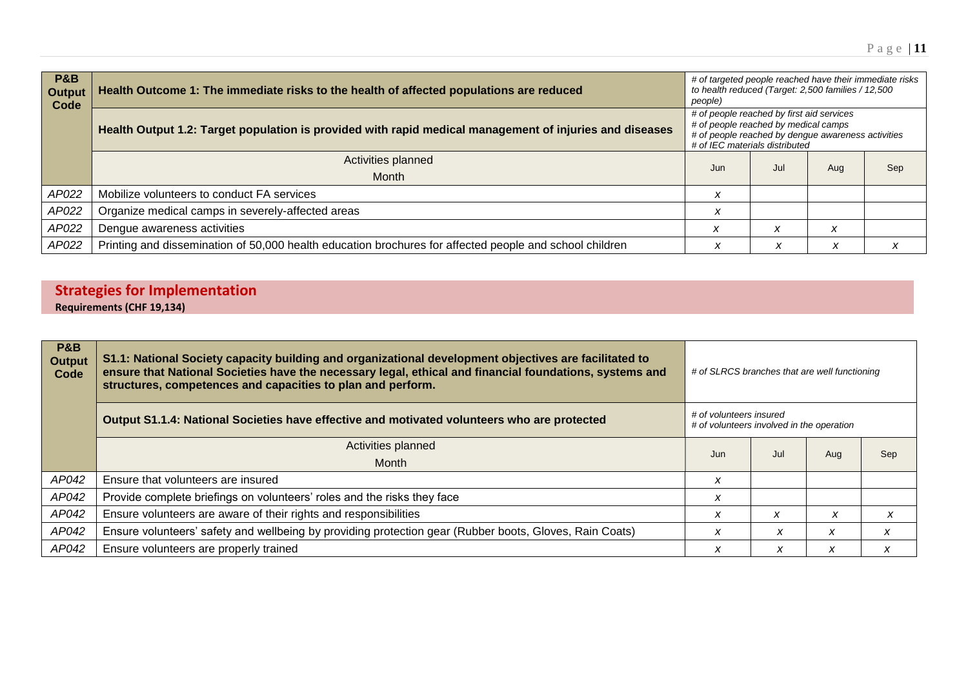| <b>P&amp;B</b><br>Output<br>Code | Health Outcome 1: The immediate risks to the health of affected populations are reduced                 | people) | # of targeted people reached have their immediate risks<br>to health reduced (Target: 2,500 families / 12,500                                                             |     |     |  |
|----------------------------------|---------------------------------------------------------------------------------------------------------|---------|---------------------------------------------------------------------------------------------------------------------------------------------------------------------------|-----|-----|--|
|                                  | Health Output 1.2: Target population is provided with rapid medical management of injuries and diseases |         | # of people reached by first aid services<br># of people reached by medical camps<br># of people reached by dengue awareness activities<br># of IEC materials distributed |     |     |  |
|                                  | Activities planned<br>Month                                                                             | Jun     | Jul                                                                                                                                                                       | Aug | Sep |  |
| AP022                            | Mobilize volunteers to conduct FA services                                                              | X       |                                                                                                                                                                           |     |     |  |
| AP022                            | Organize medical camps in severely-affected areas                                                       | X       |                                                                                                                                                                           |     |     |  |
| AP022                            | Dengue awareness activities                                                                             | X       | x                                                                                                                                                                         | X   |     |  |
| AP022                            | Printing and dissemination of 50,000 health education brochures for affected people and school children | X       | X                                                                                                                                                                         | X   | x   |  |

# **Strategies for Implementation**

**Requirements (CHF 19,134)**

| P&B<br><b>Output</b><br>Code | S1.1: National Society capacity building and organizational development objectives are facilitated to<br>ensure that National Societies have the necessary legal, ethical and financial foundations, systems and<br>structures, competences and capacities to plan and perform. | # of SLRCS branches that are well functioning                        |     |     |     |
|------------------------------|---------------------------------------------------------------------------------------------------------------------------------------------------------------------------------------------------------------------------------------------------------------------------------|----------------------------------------------------------------------|-----|-----|-----|
|                              | Output S1.1.4: National Societies have effective and motivated volunteers who are protected                                                                                                                                                                                     | # of volunteers insured<br># of volunteers involved in the operation |     |     |     |
|                              | Activities planned                                                                                                                                                                                                                                                              | Jun                                                                  | Jul | Aug | Sep |
|                              | Month                                                                                                                                                                                                                                                                           |                                                                      |     |     |     |
| AP042                        | Ensure that volunteers are insured                                                                                                                                                                                                                                              | $\boldsymbol{x}$                                                     |     |     |     |
| AP042                        | Provide complete briefings on volunteers' roles and the risks they face                                                                                                                                                                                                         | X                                                                    |     |     |     |
| AP042                        | Ensure volunteers are aware of their rights and responsibilities                                                                                                                                                                                                                | X                                                                    | X   | X   | X   |
| AP042                        | Ensure volunteers' safety and wellbeing by providing protection gear (Rubber boots, Gloves, Rain Coats)                                                                                                                                                                         | X                                                                    | X   | X   | X   |
| AP042                        | Ensure volunteers are properly trained                                                                                                                                                                                                                                          | X                                                                    | x   | X   | X   |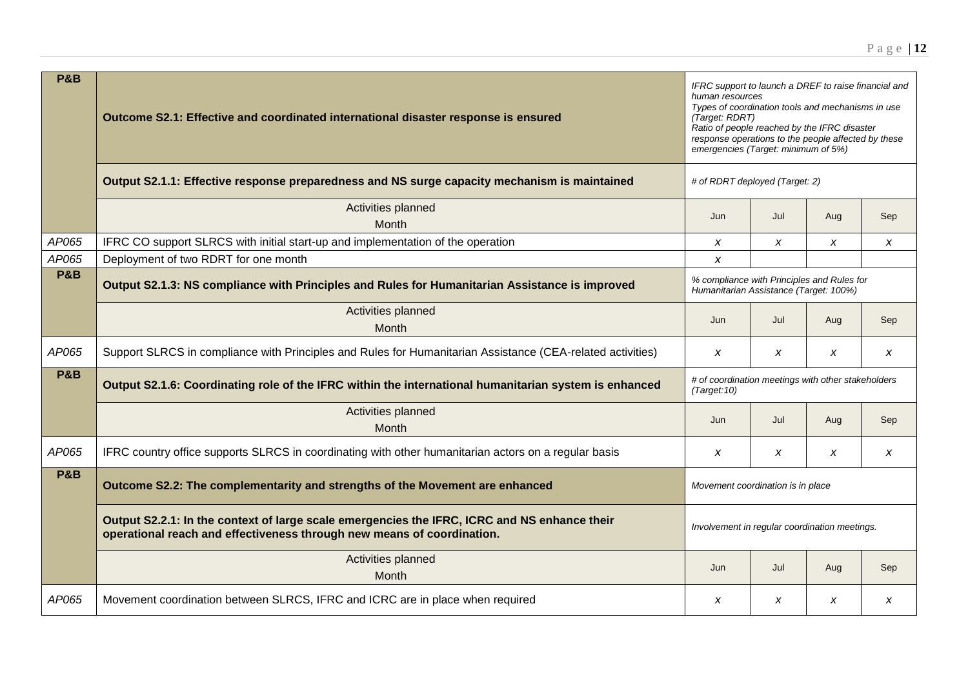| e | - 1<br>· ∎2 |
|---|-------------|
|   |             |

| <b>P&amp;B</b> | Outcome S2.1: Effective and coordinated international disaster response is ensured                                                                                     | IFRC support to launch a DREF to raise financial and<br>human resources<br>Types of coordination tools and mechanisms in use<br>(Target: RDRT)<br>Ratio of people reached by the IFRC disaster<br>response operations to the people affected by these<br>emergencies (Target: minimum of 5%) |                  |                  |                  |
|----------------|------------------------------------------------------------------------------------------------------------------------------------------------------------------------|----------------------------------------------------------------------------------------------------------------------------------------------------------------------------------------------------------------------------------------------------------------------------------------------|------------------|------------------|------------------|
|                | Output S2.1.1: Effective response preparedness and NS surge capacity mechanism is maintained                                                                           | # of RDRT deployed (Target: 2)                                                                                                                                                                                                                                                               |                  |                  |                  |
|                | Activities planned<br><b>Month</b>                                                                                                                                     | Jun                                                                                                                                                                                                                                                                                          | Jul              | Aug              | Sep              |
| AP065          | IFRC CO support SLRCS with initial start-up and implementation of the operation                                                                                        | $\boldsymbol{x}$<br>$\boldsymbol{x}$<br>X<br>$\boldsymbol{x}$                                                                                                                                                                                                                                |                  |                  |                  |
| AP065          | Deployment of two RDRT for one month                                                                                                                                   | $\boldsymbol{x}$                                                                                                                                                                                                                                                                             |                  |                  |                  |
| <b>P&amp;B</b> | Output S2.1.3: NS compliance with Principles and Rules for Humanitarian Assistance is improved                                                                         | % compliance with Principles and Rules for<br>Humanitarian Assistance (Target: 100%)                                                                                                                                                                                                         |                  |                  |                  |
|                | Activities planned<br>Month                                                                                                                                            | Jun                                                                                                                                                                                                                                                                                          | Jul              | Aug              | Sep              |
| AP065          | Support SLRCS in compliance with Principles and Rules for Humanitarian Assistance (CEA-related activities)                                                             | X                                                                                                                                                                                                                                                                                            | $\boldsymbol{x}$ | X                | $\boldsymbol{x}$ |
| <b>P&amp;B</b> | Output S2.1.6: Coordinating role of the IFRC within the international humanitarian system is enhanced                                                                  | # of coordination meetings with other stakeholders<br>(Target:10)                                                                                                                                                                                                                            |                  |                  |                  |
|                | Activities planned<br>Month                                                                                                                                            | Jun                                                                                                                                                                                                                                                                                          | Jul              | Aug              | Sep              |
| AP065          | IFRC country office supports SLRCS in coordinating with other humanitarian actors on a regular basis                                                                   | $\boldsymbol{x}$                                                                                                                                                                                                                                                                             | $\boldsymbol{x}$ | $\boldsymbol{x}$ | $\boldsymbol{x}$ |
| <b>P&amp;B</b> | Outcome S2.2: The complementarity and strengths of the Movement are enhanced                                                                                           | Movement coordination is in place                                                                                                                                                                                                                                                            |                  |                  |                  |
|                | Output S2.2.1: In the context of large scale emergencies the IFRC, ICRC and NS enhance their<br>operational reach and effectiveness through new means of coordination. | Involvement in regular coordination meetings.                                                                                                                                                                                                                                                |                  |                  |                  |
|                | Activities planned<br>Month                                                                                                                                            | Jun                                                                                                                                                                                                                                                                                          | Jul              | Aug              | Sep              |
| AP065          | Movement coordination between SLRCS, IFRC and ICRC are in place when required                                                                                          | X                                                                                                                                                                                                                                                                                            | X                | $\boldsymbol{x}$ | X                |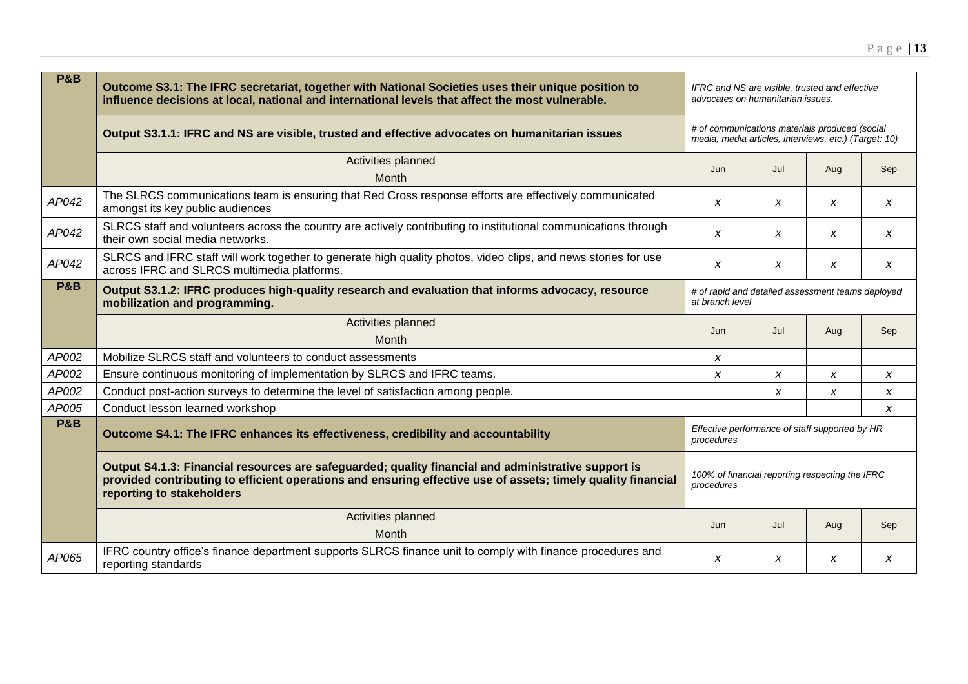| <b>P&amp;B</b> | Outcome S3.1: The IFRC secretariat, together with National Societies uses their unique position to<br>influence decisions at local, national and international levels that affect the most vulnerable.                                           | IFRC and NS are visible, trusted and effective<br>advocates on humanitarian issues.                     |                  |                  |                  |
|----------------|--------------------------------------------------------------------------------------------------------------------------------------------------------------------------------------------------------------------------------------------------|---------------------------------------------------------------------------------------------------------|------------------|------------------|------------------|
|                | Output S3.1.1: IFRC and NS are visible, trusted and effective advocates on humanitarian issues                                                                                                                                                   | # of communications materials produced (social<br>media, media articles, interviews, etc.) (Target: 10) |                  |                  |                  |
|                | Activities planned<br>Month                                                                                                                                                                                                                      | Jun                                                                                                     | Jul              | Aug              | Sep              |
| AP042          | The SLRCS communications team is ensuring that Red Cross response efforts are effectively communicated<br>amongst its key public audiences                                                                                                       | $\boldsymbol{x}$                                                                                        | X                | $\boldsymbol{x}$ | x                |
| AP042          | SLRCS staff and volunteers across the country are actively contributing to institutional communications through<br>their own social media networks.                                                                                              | X                                                                                                       | X                | X                | X                |
| AP042          | SLRCS and IFRC staff will work together to generate high quality photos, video clips, and news stories for use<br>across IFRC and SLRCS multimedia platforms.                                                                                    | $\boldsymbol{x}$<br>X<br>X<br>x                                                                         |                  |                  |                  |
| <b>P&amp;B</b> | Output S3.1.2: IFRC produces high-quality research and evaluation that informs advocacy, resource<br>mobilization and programming.                                                                                                               | # of rapid and detailed assessment teams deployed<br>at branch level                                    |                  |                  |                  |
|                | Activities planned<br>Month                                                                                                                                                                                                                      | Jun                                                                                                     | Jul              | Aug              | Sep              |
| AP002          | Mobilize SLRCS staff and volunteers to conduct assessments                                                                                                                                                                                       | X                                                                                                       |                  |                  |                  |
| AP002          | Ensure continuous monitoring of implementation by SLRCS and IFRC teams.                                                                                                                                                                          | X                                                                                                       | X                | x                | x                |
| AP002          | Conduct post-action surveys to determine the level of satisfaction among people.                                                                                                                                                                 |                                                                                                         | $\boldsymbol{x}$ | $\boldsymbol{x}$ | $\boldsymbol{x}$ |
| AP005          | Conduct lesson learned workshop                                                                                                                                                                                                                  |                                                                                                         |                  |                  | $\boldsymbol{x}$ |
| <b>P&amp;B</b> | Outcome S4.1: The IFRC enhances its effectiveness, credibility and accountability                                                                                                                                                                | Effective performance of staff supported by HR<br>procedures                                            |                  |                  |                  |
|                | Output S4.1.3: Financial resources are safeguarded; quality financial and administrative support is<br>provided contributing to efficient operations and ensuring effective use of assets; timely quality financial<br>reporting to stakeholders | 100% of financial reporting respecting the IFRC<br>procedures                                           |                  |                  |                  |
|                | Activities planned<br>Month                                                                                                                                                                                                                      | Jun                                                                                                     | Jul              | Aug              | Sep              |
| AP065          | IFRC country office's finance department supports SLRCS finance unit to comply with finance procedures and<br>reporting standards                                                                                                                | X                                                                                                       | x                | x                | x                |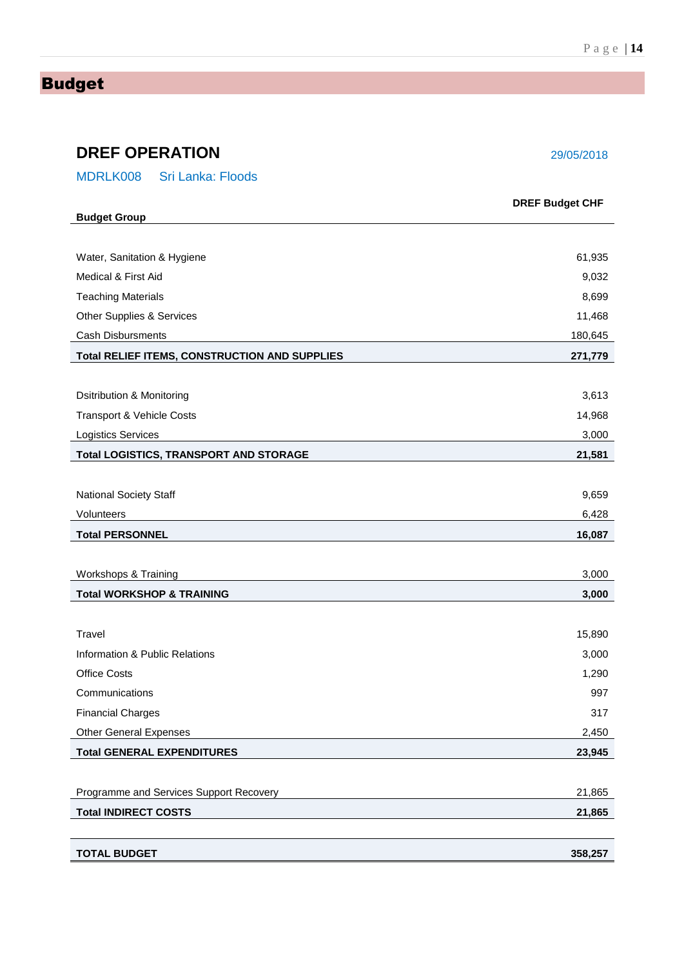# <span id="page-13-0"></span>Budget

| <b>DREF OPERATION</b>                                | 29/05/2018             |  |  |
|------------------------------------------------------|------------------------|--|--|
| MDRLK008<br>Sri Lanka: Floods                        |                        |  |  |
|                                                      | <b>DREF Budget CHF</b> |  |  |
| <b>Budget Group</b>                                  |                        |  |  |
|                                                      |                        |  |  |
| Water, Sanitation & Hygiene                          | 61,935                 |  |  |
| Medical & First Aid                                  | 9,032                  |  |  |
| <b>Teaching Materials</b>                            | 8,699                  |  |  |
| Other Supplies & Services                            | 11,468                 |  |  |
| <b>Cash Disbursments</b>                             | 180,645                |  |  |
| <b>Total RELIEF ITEMS, CONSTRUCTION AND SUPPLIES</b> | 271,779                |  |  |
|                                                      |                        |  |  |
| <b>Dsitribution &amp; Monitoring</b>                 | 3,613                  |  |  |
| Transport & Vehicle Costs                            | 14,968                 |  |  |
| <b>Logistics Services</b>                            | 3,000                  |  |  |
| <b>Total LOGISTICS, TRANSPORT AND STORAGE</b>        | 21,581                 |  |  |
|                                                      |                        |  |  |
| National Society Staff                               | 9,659                  |  |  |
| Volunteers                                           | 6,428                  |  |  |
| <b>Total PERSONNEL</b>                               | 16,087                 |  |  |
|                                                      |                        |  |  |
| Workshops & Training                                 | 3,000                  |  |  |
| <b>Total WORKSHOP &amp; TRAINING</b>                 | 3,000                  |  |  |
|                                                      |                        |  |  |
| Travel                                               | 15,890                 |  |  |
| Information & Public Relations                       | 3,000                  |  |  |
| Office Costs                                         | 1,290                  |  |  |
| Communications                                       | 997                    |  |  |
| <b>Financial Charges</b>                             | 317                    |  |  |
| <b>Other General Expenses</b>                        | 2,450                  |  |  |
| <b>Total GENERAL EXPENDITURES</b>                    | 23,945                 |  |  |
|                                                      |                        |  |  |
| Programme and Services Support Recovery              | 21,865                 |  |  |
| <b>Total INDIRECT COSTS</b>                          | 21,865                 |  |  |

**TOTAL BUDGET 358,257**